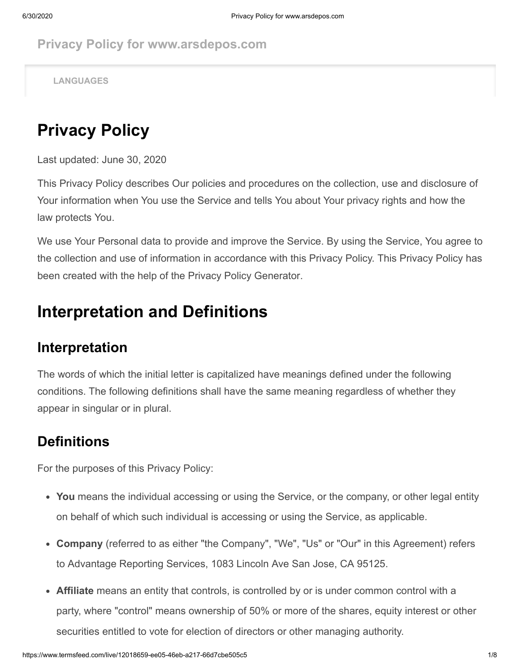**Privacy Policy for www.arsdepos.com**

**LANGUAGES**

## **Privacy Policy**

Last updated: June 30, 2020

This Privacy Policy describes Our policies and procedures on the collection, use and disclosure of Your information when You use the Service and tells You about Your privacy rights and how the law protects You.

We use Your Personal data to provide and improve the Service. By using the Service, You agree to the collection and use of information in accordance with this Privacy Policy. This Privacy Policy has been created with the help of the [Privacy Policy Generator.](https://www.termsfeed.com/privacy-policy-generator/)

### **Interpretation and Definitions**

#### **Interpretation**

The words of which the initial letter is capitalized have meanings defined under the following conditions. The following definitions shall have the same meaning regardless of whether they appear in singular or in plural.

#### **Definitions**

For the purposes of this Privacy Policy:

- **You** means the individual accessing or using the Service, or the company, or other legal entity on behalf of which such individual is accessing or using the Service, as applicable.
- **Company** (referred to as either "the Company", "We", "Us" or "Our" in this Agreement) refers to Advantage Reporting Services, 1083 Lincoln Ave San Jose, CA 95125.
- **Affiliate** means an entity that controls, is controlled by or is under common control with a party, where "control" means ownership of 50% or more of the shares, equity interest or other securities entitled to vote for election of directors or other managing authority.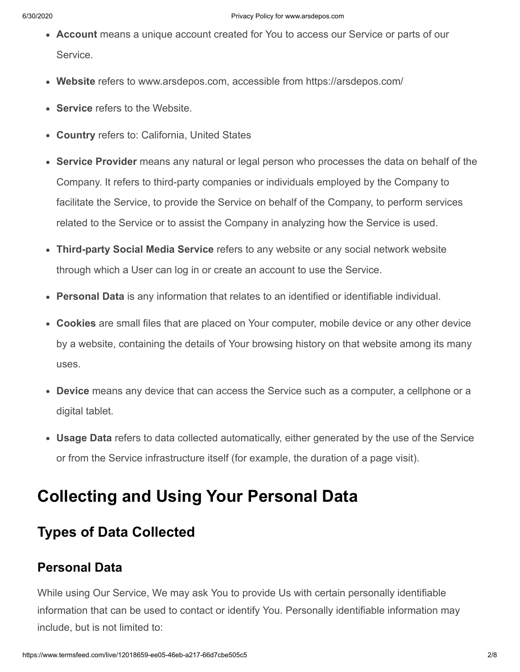- **Account** means a unique account created for You to access our Service or parts of our Service.
- **Website** refers to www.arsdepos.com, accessible from<https://arsdepos.com/>
- **Service** refers to the Website.
- **Country** refers to: California, United States
- **Service Provider** means any natural or legal person who processes the data on behalf of the Company. It refers to third-party companies or individuals employed by the Company to facilitate the Service, to provide the Service on behalf of the Company, to perform services related to the Service or to assist the Company in analyzing how the Service is used.
- **Third-party Social Media Service** refers to any website or any social network website through which a User can log in or create an account to use the Service.
- **Personal Data** is any information that relates to an identified or identifiable individual.
- **Cookies** are small files that are placed on Your computer, mobile device or any other device by a website, containing the details of Your browsing history on that website among its many uses.
- **Device** means any device that can access the Service such as a computer, a cellphone or a digital tablet.
- **Usage Data** refers to data collected automatically, either generated by the use of the Service or from the Service infrastructure itself (for example, the duration of a page visit).

## **Collecting and Using Your Personal Data**

### **Types of Data Collected**

#### **Personal Data**

While using Our Service, We may ask You to provide Us with certain personally identifiable information that can be used to contact or identify You. Personally identifiable information may include, but is not limited to: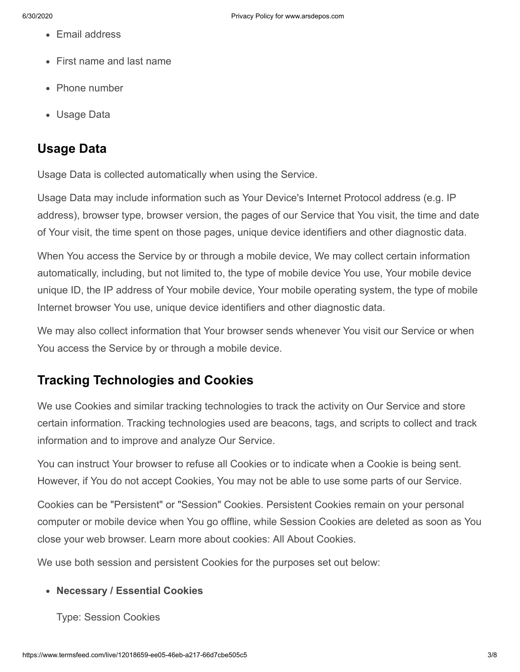- Email address
- First name and last name
- Phone number
- Usage Data

#### **Usage Data**

Usage Data is collected automatically when using the Service.

Usage Data may include information such as Your Device's Internet Protocol address (e.g. IP address), browser type, browser version, the pages of our Service that You visit, the time and date of Your visit, the time spent on those pages, unique device identifiers and other diagnostic data.

When You access the Service by or through a mobile device, We may collect certain information automatically, including, but not limited to, the type of mobile device You use, Your mobile device unique ID, the IP address of Your mobile device, Your mobile operating system, the type of mobile Internet browser You use, unique device identifiers and other diagnostic data.

We may also collect information that Your browser sends whenever You visit our Service or when You access the Service by or through a mobile device.

#### **Tracking Technologies and Cookies**

We use Cookies and similar tracking technologies to track the activity on Our Service and store certain information. Tracking technologies used are beacons, tags, and scripts to collect and track information and to improve and analyze Our Service.

You can instruct Your browser to refuse all Cookies or to indicate when a Cookie is being sent. However, if You do not accept Cookies, You may not be able to use some parts of our Service.

Cookies can be "Persistent" or "Session" Cookies. Persistent Cookies remain on your personal computer or mobile device when You go offline, while Session Cookies are deleted as soon as You close your web browser. Learn more about cookies: [All About Cookies](https://www.termsfeed.com/blog/cookies/).

We use both session and persistent Cookies for the purposes set out below:

#### **Necessary / Essential Cookies**

Type: Session Cookies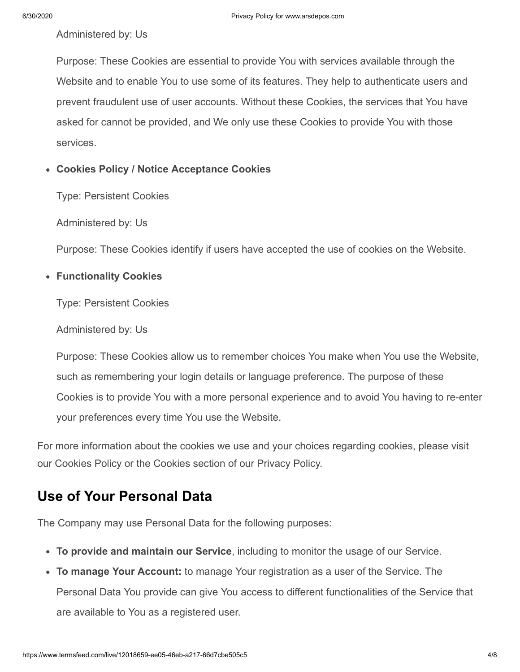Administered by: Us

Purpose: These Cookies are essential to provide You with services available through the Website and to enable You to use some of its features. They help to authenticate users and prevent fraudulent use of user accounts. Without these Cookies, the services that You have asked for cannot be provided, and We only use these Cookies to provide You with those services.

#### **Cookies Policy / Notice Acceptance Cookies**

Type: Persistent Cookies

Administered by: Us

Purpose: These Cookies identify if users have accepted the use of cookies on the Website.

#### **Functionality Cookies**

Type: Persistent Cookies

Administered by: Us

Purpose: These Cookies allow us to remember choices You make when You use the Website, such as remembering your login details or language preference. The purpose of these Cookies is to provide You with a more personal experience and to avoid You having to re-enter your preferences every time You use the Website.

For more information about the cookies we use and your choices regarding cookies, please visit our Cookies Policy or the Cookies section of our Privacy Policy.

### **Use of Your Personal Data**

The Company may use Personal Data for the following purposes:

- **To provide and maintain our Service**, including to monitor the usage of our Service.
- **To manage Your Account:** to manage Your registration as a user of the Service. The Personal Data You provide can give You access to different functionalities of the Service that are available to You as a registered user.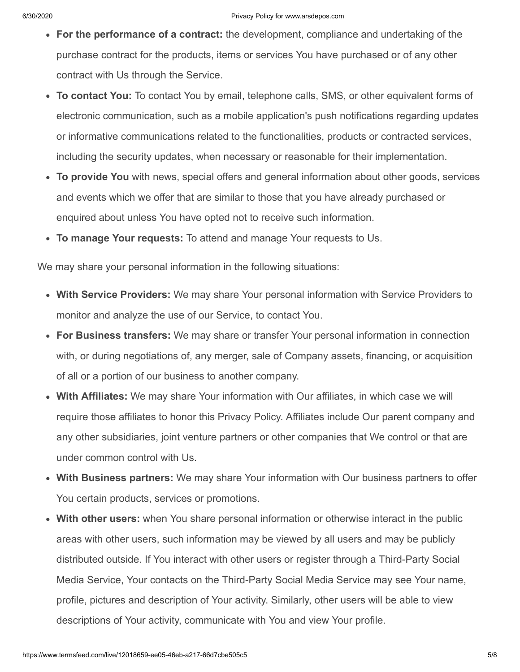- **For the performance of a contract:** the development, compliance and undertaking of the purchase contract for the products, items or services You have purchased or of any other contract with Us through the Service.
- **To contact You:** To contact You by email, telephone calls, SMS, or other equivalent forms of electronic communication, such as a mobile application's push notifications regarding updates or informative communications related to the functionalities, products or contracted services, including the security updates, when necessary or reasonable for their implementation.
- **To provide You** with news, special offers and general information about other goods, services and events which we offer that are similar to those that you have already purchased or enquired about unless You have opted not to receive such information.
- **To manage Your requests:** To attend and manage Your requests to Us.

We may share your personal information in the following situations:

- **With Service Providers:** We may share Your personal information with Service Providers to monitor and analyze the use of our Service, to contact You.
- **For Business transfers:** We may share or transfer Your personal information in connection with, or during negotiations of, any merger, sale of Company assets, financing, or acquisition of all or a portion of our business to another company.
- **With Affiliates:** We may share Your information with Our affiliates, in which case we will require those affiliates to honor this Privacy Policy. Affiliates include Our parent company and any other subsidiaries, joint venture partners or other companies that We control or that are under common control with Us.
- **With Business partners:** We may share Your information with Our business partners to offer You certain products, services or promotions.
- **With other users:** when You share personal information or otherwise interact in the public areas with other users, such information may be viewed by all users and may be publicly distributed outside. If You interact with other users or register through a Third-Party Social Media Service, Your contacts on the Third-Party Social Media Service may see Your name, profile, pictures and description of Your activity. Similarly, other users will be able to view descriptions of Your activity, communicate with You and view Your profile.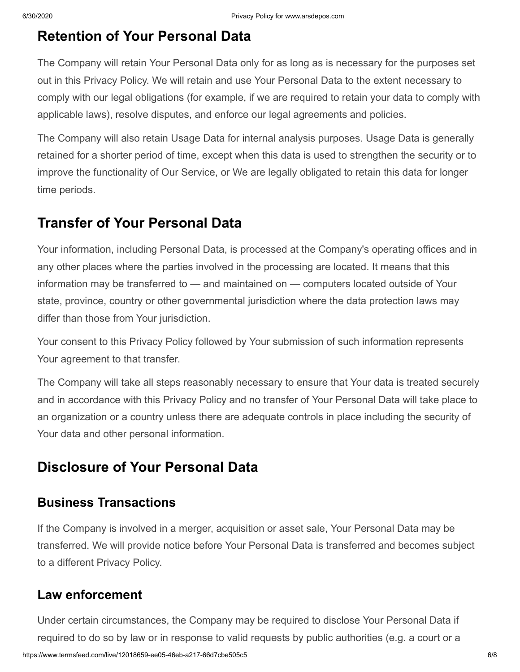#### **Retention of Your Personal Data**

The Company will retain Your Personal Data only for as long as is necessary for the purposes set out in this Privacy Policy. We will retain and use Your Personal Data to the extent necessary to comply with our legal obligations (for example, if we are required to retain your data to comply with applicable laws), resolve disputes, and enforce our legal agreements and policies.

The Company will also retain Usage Data for internal analysis purposes. Usage Data is generally retained for a shorter period of time, except when this data is used to strengthen the security or to improve the functionality of Our Service, or We are legally obligated to retain this data for longer time periods.

#### **Transfer of Your Personal Data**

Your information, including Personal Data, is processed at the Company's operating offices and in any other places where the parties involved in the processing are located. It means that this information may be transferred to — and maintained on — computers located outside of Your state, province, country or other governmental jurisdiction where the data protection laws may differ than those from Your jurisdiction.

Your consent to this Privacy Policy followed by Your submission of such information represents Your agreement to that transfer.

The Company will take all steps reasonably necessary to ensure that Your data is treated securely and in accordance with this Privacy Policy and no transfer of Your Personal Data will take place to an organization or a country unless there are adequate controls in place including the security of Your data and other personal information.

### **Disclosure of Your Personal Data**

#### **Business Transactions**

If the Company is involved in a merger, acquisition or asset sale, Your Personal Data may be transferred. We will provide notice before Your Personal Data is transferred and becomes subject to a different Privacy Policy.

#### **Law enforcement**

https://www.termsfeed.com/live/12018659-ee05-46eb-a217-66d7cbe505c5 6/8 Under certain circumstances, the Company may be required to disclose Your Personal Data if required to do so by law or in response to valid requests by public authorities (e.g. a court or a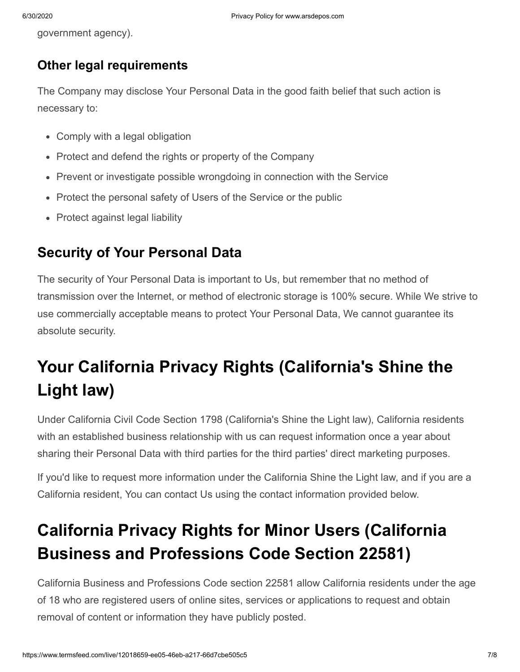government agency).

#### **Other legal requirements**

The Company may disclose Your Personal Data in the good faith belief that such action is necessary to:

- Comply with a legal obligation
- Protect and defend the rights or property of the Company
- Prevent or investigate possible wrongdoing in connection with the Service
- Protect the personal safety of Users of the Service or the public
- Protect against legal liability

#### **Security of Your Personal Data**

The security of Your Personal Data is important to Us, but remember that no method of transmission over the Internet, or method of electronic storage is 100% secure. While We strive to use commercially acceptable means to protect Your Personal Data, We cannot guarantee its absolute security.

# **Your California Privacy Rights (California's Shine the Light law)**

Under California Civil Code Section 1798 (California's Shine the Light law), California residents with an established business relationship with us can request information once a year about sharing their Personal Data with third parties for the third parties' direct marketing purposes.

If you'd like to request more information under the California Shine the Light law, and if you are a California resident, You can contact Us using the contact information provided below.

# **California Privacy Rights for Minor Users (California Business and Professions Code Section 22581)**

California Business and Professions Code section 22581 allow California residents under the age of 18 who are registered users of online sites, services or applications to request and obtain removal of content or information they have publicly posted.